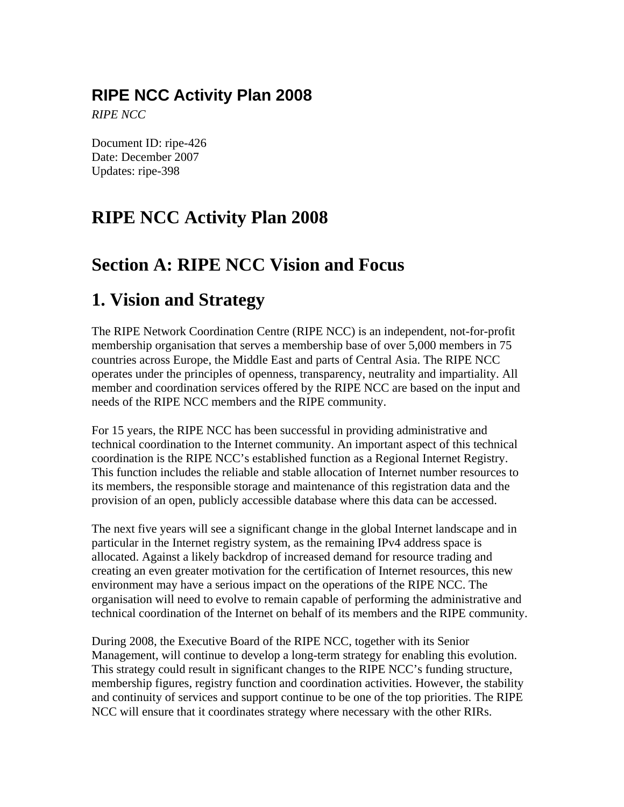## **RIPE NCC Activity Plan 2008**

*RIPE NCC*

Document ID: ripe-426 Date: December 2007 Updates: ripe-398

## **RIPE NCC Activity Plan 2008**

## **Section A: RIPE NCC Vision and Focus**

## **1. Vision and Strategy**

The RIPE Network Coordination Centre (RIPE NCC) is an independent, not-for-profit membership organisation that serves a membership base of over 5,000 members in 75 countries across Europe, the Middle East and parts of Central Asia. The RIPE NCC operates under the principles of openness, transparency, neutrality and impartiality. All member and coordination services offered by the RIPE NCC are based on the input and needs of the RIPE NCC members and the RIPE community.

For 15 years, the RIPE NCC has been successful in providing administrative and technical coordination to the Internet community. An important aspect of this technical coordination is the RIPE NCC's established function as a Regional Internet Registry. This function includes the reliable and stable allocation of Internet number resources to its members, the responsible storage and maintenance of this registration data and the provision of an open, publicly accessible database where this data can be accessed.

The next five years will see a significant change in the global Internet landscape and in particular in the Internet registry system, as the remaining IPv4 address space is allocated. Against a likely backdrop of increased demand for resource trading and creating an even greater motivation for the certification of Internet resources, this new environment may have a serious impact on the operations of the RIPE NCC. The organisation will need to evolve to remain capable of performing the administrative and technical coordination of the Internet on behalf of its members and the RIPE community.

During 2008, the Executive Board of the RIPE NCC, together with its Senior Management, will continue to develop a long-term strategy for enabling this evolution. This strategy could result in significant changes to the RIPE NCC's funding structure, membership figures, registry function and coordination activities. However, the stability and continuity of services and support continue to be one of the top priorities. The RIPE NCC will ensure that it coordinates strategy where necessary with the other RIRs.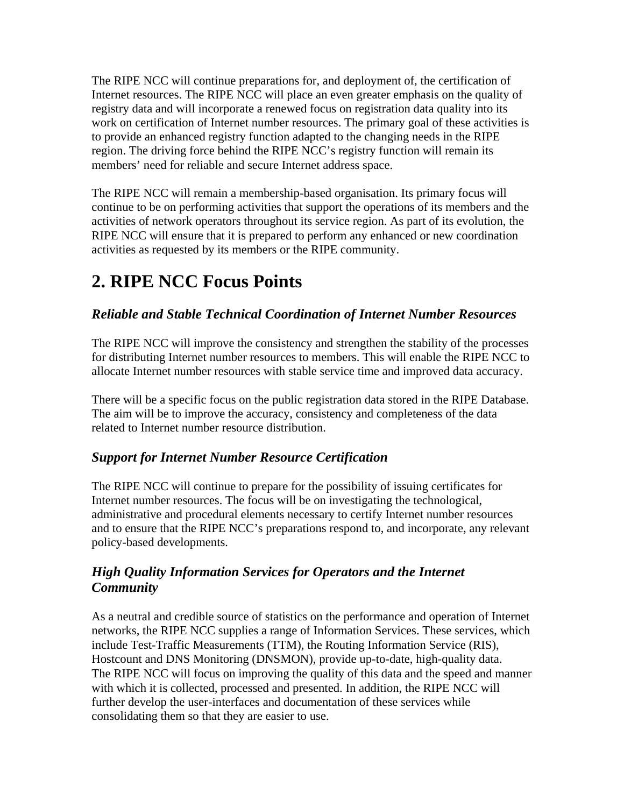The RIPE NCC will continue preparations for, and deployment of, the certification of Internet resources. The RIPE NCC will place an even greater emphasis on the quality of registry data and will incorporate a renewed focus on registration data quality into its work on certification of Internet number resources. The primary goal of these activities is to provide an enhanced registry function adapted to the changing needs in the RIPE region. The driving force behind the RIPE NCC's registry function will remain its members' need for reliable and secure Internet address space.

The RIPE NCC will remain a membership-based organisation. Its primary focus will continue to be on performing activities that support the operations of its members and the activities of network operators throughout its service region. As part of its evolution, the RIPE NCC will ensure that it is prepared to perform any enhanced or new coordination activities as requested by its members or the RIPE community.

## **2. RIPE NCC Focus Points**

## *Reliable and Stable Technical Coordination of Internet Number Resources*

The RIPE NCC will improve the consistency and strengthen the stability of the processes for distributing Internet number resources to members. This will enable the RIPE NCC to allocate Internet number resources with stable service time and improved data accuracy.

There will be a specific focus on the public registration data stored in the RIPE Database. The aim will be to improve the accuracy, consistency and completeness of the data related to Internet number resource distribution.

## *Support for Internet Number Resource Certification*

The RIPE NCC will continue to prepare for the possibility of issuing certificates for Internet number resources. The focus will be on investigating the technological, administrative and procedural elements necessary to certify Internet number resources and to ensure that the RIPE NCC's preparations respond to, and incorporate, any relevant policy-based developments.

## *High Quality Information Services for Operators and the Internet Community*

As a neutral and credible source of statistics on the performance and operation of Internet networks, the RIPE NCC supplies a range of Information Services. These services, which include Test-Traffic Measurements (TTM), the Routing Information Service (RIS), Hostcount and DNS Monitoring (DNSMON), provide up-to-date, high-quality data. The RIPE NCC will focus on improving the quality of this data and the speed and manner with which it is collected, processed and presented. In addition, the RIPE NCC will further develop the user-interfaces and documentation of these services while consolidating them so that they are easier to use.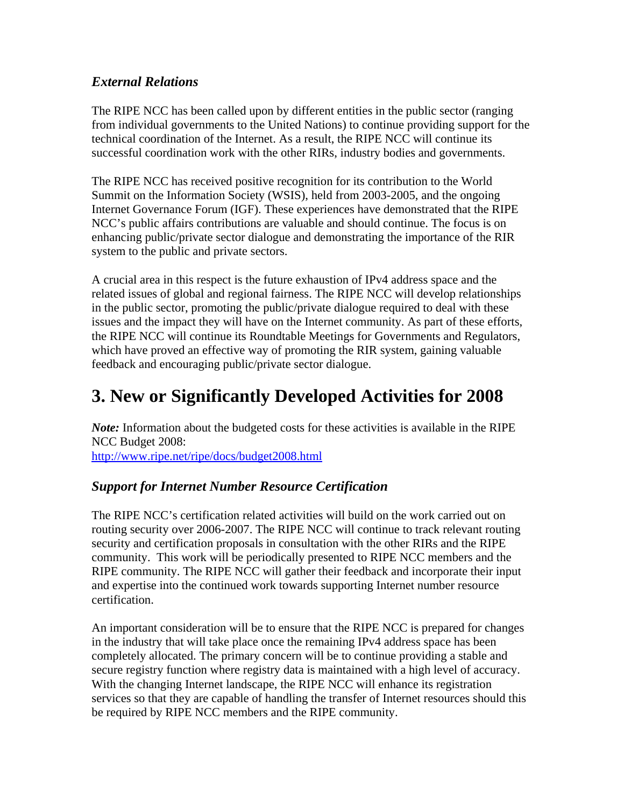## *External Relations*

The RIPE NCC has been called upon by different entities in the public sector (ranging from individual governments to the United Nations) to continue providing support for the technical coordination of the Internet. As a result, the RIPE NCC will continue its successful coordination work with the other RIRs, industry bodies and governments.

The RIPE NCC has received positive recognition for its contribution to the World Summit on the Information Society (WSIS), held from 2003-2005, and the ongoing Internet Governance Forum (IGF). These experiences have demonstrated that the RIPE NCC's public affairs contributions are valuable and should continue. The focus is on enhancing public/private sector dialogue and demonstrating the importance of the RIR system to the public and private sectors.

A crucial area in this respect is the future exhaustion of IPv4 address space and the related issues of global and regional fairness. The RIPE NCC will develop relationships in the public sector, promoting the public/private dialogue required to deal with these issues and the impact they will have on the Internet community. As part of these efforts, the RIPE NCC will continue its Roundtable Meetings for Governments and Regulators, which have proved an effective way of promoting the RIR system, gaining valuable feedback and encouraging public/private sector dialogue.

## **3. New or Significantly Developed Activities for 2008**

*Note:* Information about the budgeted costs for these activities is available in the RIPE NCC Budget 2008:

<http://www.ripe.net/ripe/docs/budget2008.html>

## *Support for Internet Number Resource Certification*

The RIPE NCC's certification related activities will build on the work carried out on routing security over 2006-2007. The RIPE NCC will continue to track relevant routing security and certification proposals in consultation with the other RIRs and the RIPE community. This work will be periodically presented to RIPE NCC members and the RIPE community. The RIPE NCC will gather their feedback and incorporate their input and expertise into the continued work towards supporting Internet number resource certification.

An important consideration will be to ensure that the RIPE NCC is prepared for changes in the industry that will take place once the remaining IPv4 address space has been completely allocated. The primary concern will be to continue providing a stable and secure registry function where registry data is maintained with a high level of accuracy. With the changing Internet landscape, the RIPE NCC will enhance its registration services so that they are capable of handling the transfer of Internet resources should this be required by RIPE NCC members and the RIPE community.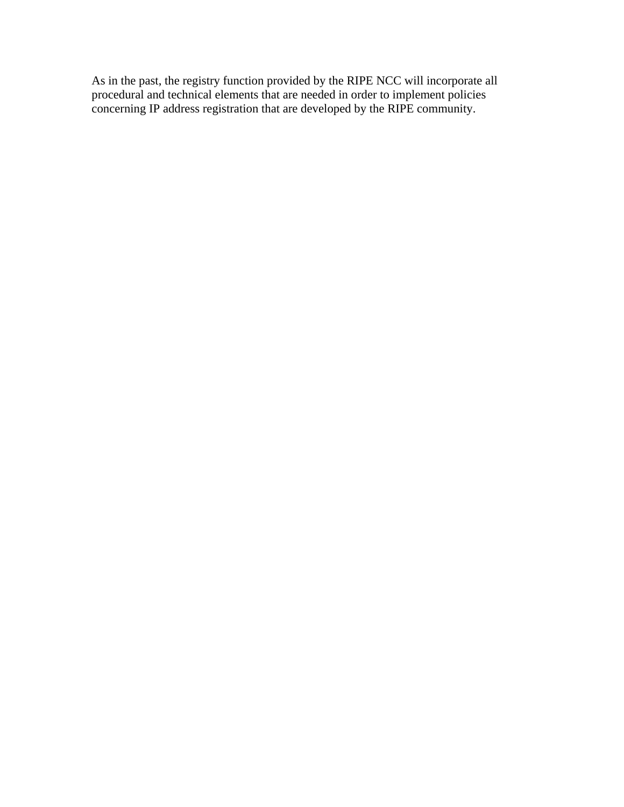As in the past, the registry function provided by the RIPE NCC will incorporate all procedural and technical elements that are needed in order to implement policies concerning IP address registration that are developed by the RIPE community.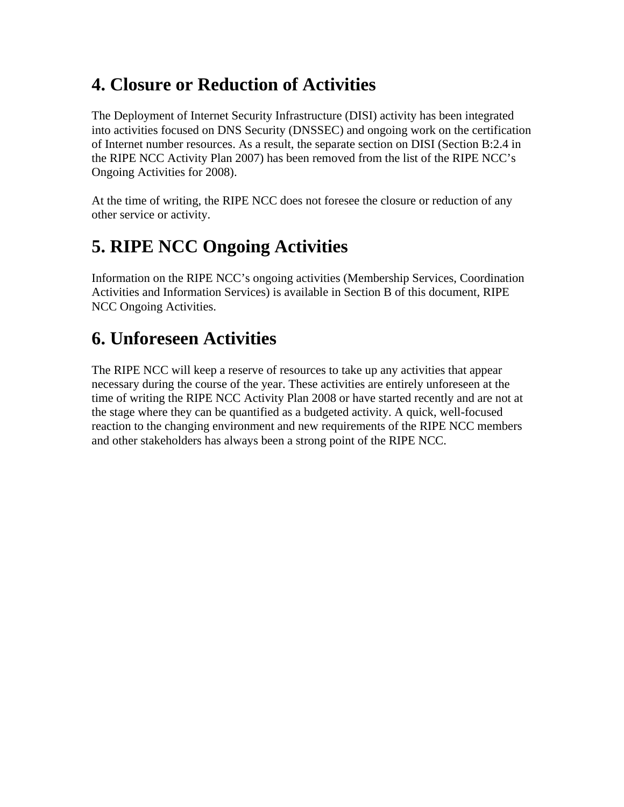## **4. Closure or Reduction of Activities**

The Deployment of Internet Security Infrastructure (DISI) activity has been integrated into activities focused on DNS Security (DNSSEC) and ongoing work on the certification of Internet number resources. As a result, the separate section on DISI (Section B:2.4 in the RIPE NCC Activity Plan 2007) has been removed from the list of the RIPE NCC's Ongoing Activities for 2008).

At the time of writing, the RIPE NCC does not foresee the closure or reduction of any other service or activity.

## **5. RIPE NCC Ongoing Activities**

Information on the RIPE NCC's ongoing activities (Membership Services, Coordination Activities and Information Services) is available in Section B of this document, RIPE NCC Ongoing Activities.

## **6. Unforeseen Activities**

The RIPE NCC will keep a reserve of resources to take up any activities that appear necessary during the course of the year. These activities are entirely unforeseen at the time of writing the RIPE NCC Activity Plan 2008 or have started recently and are not at the stage where they can be quantified as a budgeted activity. A quick, well-focused reaction to the changing environment and new requirements of the RIPE NCC members and other stakeholders has always been a strong point of the RIPE NCC.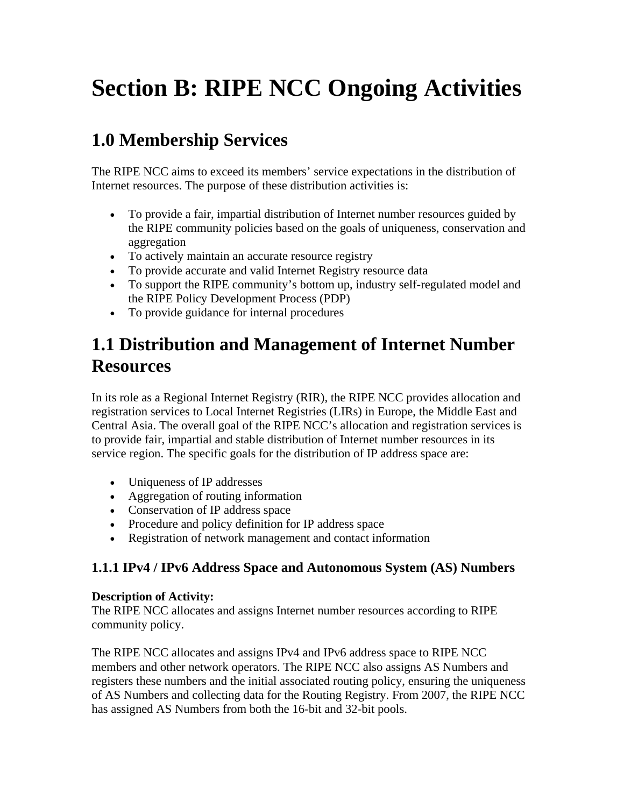# **Section B: RIPE NCC Ongoing Activities**

## **1.0 Membership Services**

The RIPE NCC aims to exceed its members' service expectations in the distribution of Internet resources. The purpose of these distribution activities is:

- To provide a fair, impartial distribution of Internet number resources guided by the RIPE community policies based on the goals of uniqueness, conservation and aggregation
- To actively maintain an accurate resource registry
- To provide accurate and valid Internet Registry resource data
- To support the RIPE community's bottom up, industry self-regulated model and the RIPE Policy Development Process (PDP)
- To provide guidance for internal procedures

## **1.1 Distribution and Management of Internet Number Resources**

In its role as a Regional Internet Registry (RIR), the RIPE NCC provides allocation and registration services to Local Internet Registries (LIRs) in Europe, the Middle East and Central Asia. The overall goal of the RIPE NCC's allocation and registration services is to provide fair, impartial and stable distribution of Internet number resources in its service region. The specific goals for the distribution of IP address space are:

- Uniqueness of IP addresses
- Aggregation of routing information
- Conservation of IP address space
- Procedure and policy definition for IP address space
- Registration of network management and contact information

## **1.1.1 IPv4 / IPv6 Address Space and Autonomous System (AS) Numbers**

#### **Description of Activity:**

The RIPE NCC allocates and assigns Internet number resources according to RIPE community policy.

The RIPE NCC allocates and assigns IPv4 and IPv6 address space to RIPE NCC members and other network operators. The RIPE NCC also assigns AS Numbers and registers these numbers and the initial associated routing policy, ensuring the uniqueness of AS Numbers and collecting data for the Routing Registry. From 2007, the RIPE NCC has assigned AS Numbers from both the 16-bit and 32-bit pools.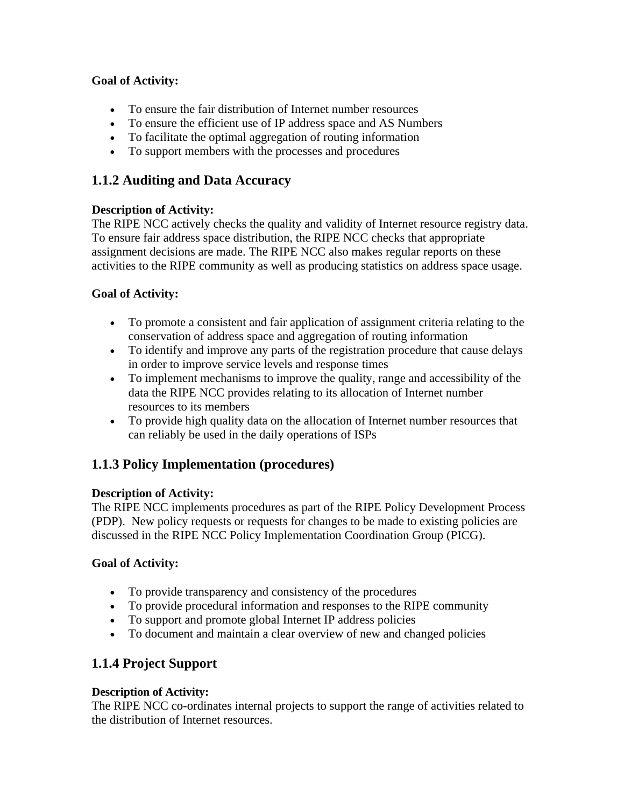- To ensure the fair distribution of Internet number resources
- To ensure the efficient use of IP address space and AS Numbers
- To facilitate the optimal aggregation of routing information
- To support members with the processes and procedures

## **1.1.2 Auditing and Data Accuracy**

### **Description of Activity:**

The RIPE NCC actively checks the quality and validity of Internet resource registry data. To ensure fair address space distribution, the RIPE NCC checks that appropriate assignment decisions are made. The RIPE NCC also makes regular reports on these activities to the RIPE community as well as producing statistics on address space usage.

## **Goal of Activity:**

- To promote a consistent and fair application of assignment criteria relating to the conservation of address space and aggregation of routing information
- To identify and improve any parts of the registration procedure that cause delays in order to improve service levels and response times
- To implement mechanisms to improve the quality, range and accessibility of the data the RIPE NCC provides relating to its allocation of Internet number resources to its members
- To provide high quality data on the allocation of Internet number resources that can reliably be used in the daily operations of ISPs

## **1.1.3 Policy Implementation (procedures)**

#### **Description of Activity:**

The RIPE NCC implements procedures as part of the RIPE Policy Development Process (PDP). New policy requests or requests for changes to be made to existing policies are discussed in the RIPE NCC Policy Implementation Coordination Group (PICG).

## **Goal of Activity:**

- To provide transparency and consistency of the procedures
- To provide procedural information and responses to the RIPE community
- To support and promote global Internet IP address policies
- To document and maintain a clear overview of new and changed policies

## **1.1.4 Project Support**

#### **Description of Activity:**

The RIPE NCC co-ordinates internal projects to support the range of activities related to the distribution of Internet resources.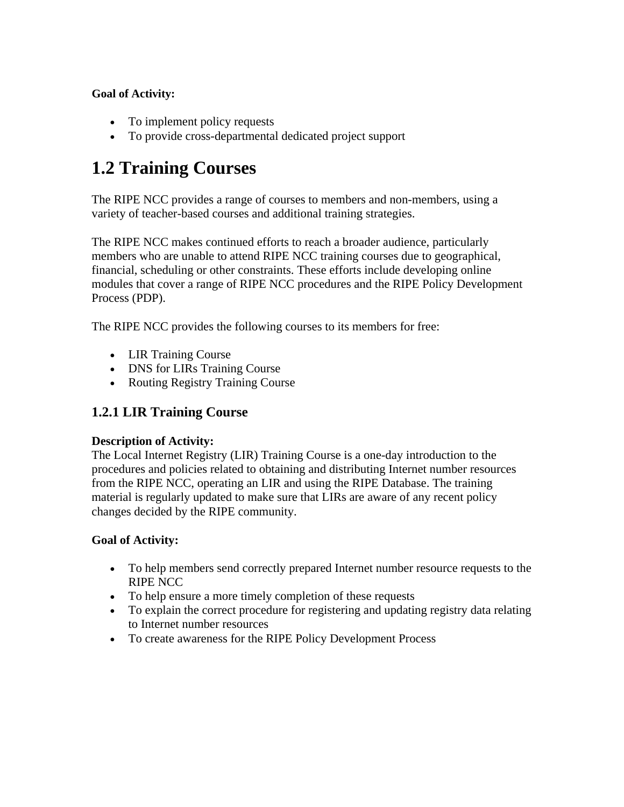- To implement policy requests
- To provide cross-departmental dedicated project support

## **1.2 Training Courses**

The RIPE NCC provides a range of courses to members and non-members, using a variety of teacher-based courses and additional training strategies.

The RIPE NCC makes continued efforts to reach a broader audience, particularly members who are unable to attend RIPE NCC training courses due to geographical, financial, scheduling or other constraints. These efforts include developing online modules that cover a range of RIPE NCC procedures and the RIPE Policy Development Process (PDP).

The RIPE NCC provides the following courses to its members for free:

- LIR Training Course
- DNS for LIRs Training Course
- Routing Registry Training Course

## **1.2.1 LIR Training Course**

#### **Description of Activity:**

The Local Internet Registry (LIR) Training Course is a one-day introduction to the procedures and policies related to obtaining and distributing Internet number resources from the RIPE NCC, operating an LIR and using the RIPE Database. The training material is regularly updated to make sure that LIRs are aware of any recent policy changes decided by the RIPE community.

#### **Goal of Activity:**

- To help members send correctly prepared Internet number resource requests to the RIPE NCC
- To help ensure a more timely completion of these requests
- To explain the correct procedure for registering and updating registry data relating to Internet number resources
- To create awareness for the RIPE Policy Development Process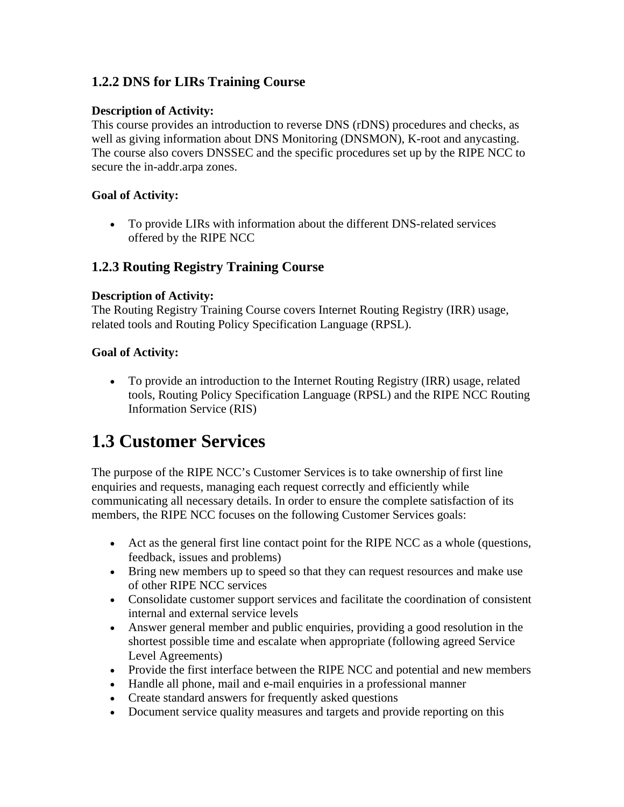## **1.2.2 DNS for LIRs Training Course**

#### **Description of Activity:**

This course provides an introduction to reverse DNS (rDNS) procedures and checks, as well as giving information about DNS Monitoring (DNSMON), K-root and anycasting. The course also covers DNSSEC and the specific procedures set up by the RIPE NCC to secure the in-addr.arpa zones.

#### **Goal of Activity:**

• To provide LIRs with information about the different DNS-related services offered by the RIPE NCC

## **1.2.3 Routing Registry Training Course**

#### **Description of Activity:**

The Routing Registry Training Course covers Internet Routing Registry (IRR) usage, related tools and Routing Policy Specification Language (RPSL).

#### **Goal of Activity:**

• To provide an introduction to the Internet Routing Registry (IRR) usage, related tools, Routing Policy Specification Language (RPSL) and the RIPE NCC Routing Information Service (RIS)

## **1.3 Customer Services**

The purpose of the RIPE NCC's Customer Services is to take ownership of first line enquiries and requests, managing each request correctly and efficiently while communicating all necessary details. In order to ensure the complete satisfaction of its members, the RIPE NCC focuses on the following Customer Services goals:

- Act as the general first line contact point for the RIPE NCC as a whole (questions, feedback, issues and problems)
- Bring new members up to speed so that they can request resources and make use of other RIPE NCC services
- Consolidate customer support services and facilitate the coordination of consistent internal and external service levels
- Answer general member and public enquiries, providing a good resolution in the shortest possible time and escalate when appropriate (following agreed Service Level Agreements)
- Provide the first interface between the RIPE NCC and potential and new members
- Handle all phone, mail and e-mail enquiries in a professional manner
- Create standard answers for frequently asked questions
- Document service quality measures and targets and provide reporting on this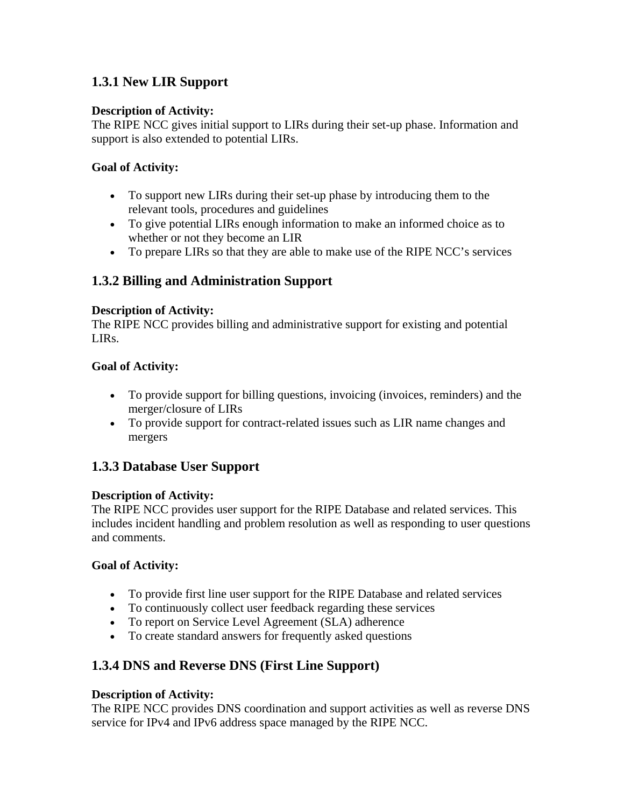## **1.3.1 New LIR Support**

#### **Description of Activity:**

The RIPE NCC gives initial support to LIRs during their set-up phase. Information and support is also extended to potential LIRs.

### **Goal of Activity:**

- To support new LIRs during their set-up phase by introducing them to the relevant tools, procedures and guidelines
- To give potential LIRs enough information to make an informed choice as to whether or not they become an LIR
- To prepare LIRs so that they are able to make use of the RIPE NCC's services

## **1.3.2 Billing and Administration Support**

#### **Description of Activity:**

The RIPE NCC provides billing and administrative support for existing and potential LIRs.

#### **Goal of Activity:**

- To provide support for billing questions, invoicing (invoices, reminders) and the merger/closure of LIRs
- To provide support for contract-related issues such as LIR name changes and mergers

## **1.3.3 Database User Support**

#### **Description of Activity:**

The RIPE NCC provides user support for the RIPE Database and related services. This includes incident handling and problem resolution as well as responding to user questions and comments.

#### **Goal of Activity:**

- To provide first line user support for the RIPE Database and related services
- To continuously collect user feedback regarding these services
- To report on Service Level Agreement (SLA) adherence
- To create standard answers for frequently asked questions

## **1.3.4 DNS and Reverse DNS (First Line Support)**

#### **Description of Activity:**

The RIPE NCC provides DNS coordination and support activities as well as reverse DNS service for IPv4 and IPv6 address space managed by the RIPE NCC.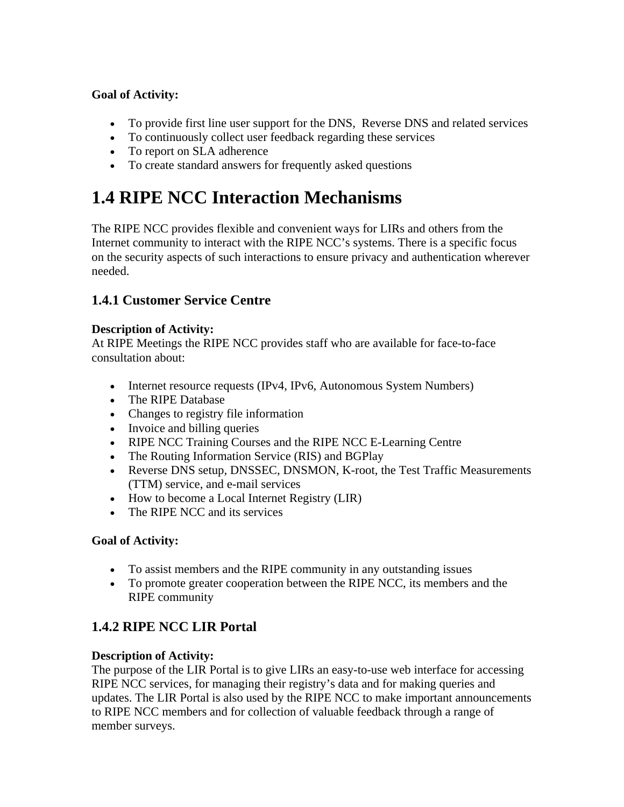- To provide first line user support for the DNS, Reverse DNS and related services
- To continuously collect user feedback regarding these services
- To report on SLA adherence
- To create standard answers for frequently asked questions

## **1.4 RIPE NCC Interaction Mechanisms**

The RIPE NCC provides flexible and convenient ways for LIRs and others from the Internet community to interact with the RIPE NCC's systems. There is a specific focus on the security aspects of such interactions to ensure privacy and authentication wherever needed.

## **1.4.1 Customer Service Centre**

### **Description of Activity:**

At RIPE Meetings the RIPE NCC provides staff who are available for face-to-face consultation about:

- Internet resource requests (IPv4, IPv6, Autonomous System Numbers)
- The RIPE Database
- Changes to registry file information
- Invoice and billing queries
- RIPE NCC Training Courses and the RIPE NCC E-Learning Centre
- The Routing Information Service (RIS) and BGPlay
- Reverse DNS setup, DNSSEC, DNSMON, K-root, the Test Traffic Measurements (TTM) service, and e-mail services
- How to become a Local Internet Registry (LIR)
- The RIPE NCC and its services

## **Goal of Activity:**

- To assist members and the RIPE community in any outstanding issues
- To promote greater cooperation between the RIPE NCC, its members and the RIPE community

## **1.4.2 RIPE NCC LIR Portal**

#### **Description of Activity:**

The purpose of the LIR Portal is to give LIRs an easy-to-use web interface for accessing RIPE NCC services, for managing their registry's data and for making queries and updates. The LIR Portal is also used by the RIPE NCC to make important announcements to RIPE NCC members and for collection of valuable feedback through a range of member surveys.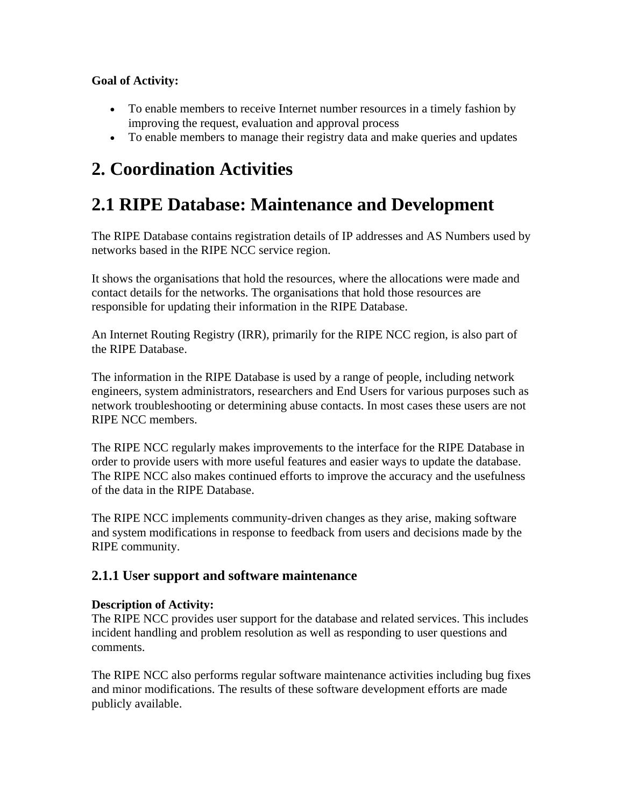- To enable members to receive Internet number resources in a timely fashion by improving the request, evaluation and approval process
- To enable members to manage their registry data and make queries and updates

## **2. Coordination Activities**

## **2.1 RIPE Database: Maintenance and Development**

The RIPE Database contains registration details of IP addresses and AS Numbers used by networks based in the RIPE NCC service region.

It shows the organisations that hold the resources, where the allocations were made and contact details for the networks. The organisations that hold those resources are responsible for updating their information in the RIPE Database.

An Internet Routing Registry (IRR), primarily for the RIPE NCC region, is also part of the RIPE Database.

The information in the RIPE Database is used by a range of people, including network engineers, system administrators, researchers and End Users for various purposes such as network troubleshooting or determining abuse contacts. In most cases these users are not RIPE NCC members.

The RIPE NCC regularly makes improvements to the interface for the RIPE Database in order to provide users with more useful features and easier ways to update the database. The RIPE NCC also makes continued efforts to improve the accuracy and the usefulness of the data in the RIPE Database.

The RIPE NCC implements community-driven changes as they arise, making software and system modifications in response to feedback from users and decisions made by the RIPE community.

## **2.1.1 User support and software maintenance**

#### **Description of Activity:**

The RIPE NCC provides user support for the database and related services. This includes incident handling and problem resolution as well as responding to user questions and comments.

The RIPE NCC also performs regular software maintenance activities including bug fixes and minor modifications. The results of these software development efforts are made publicly available.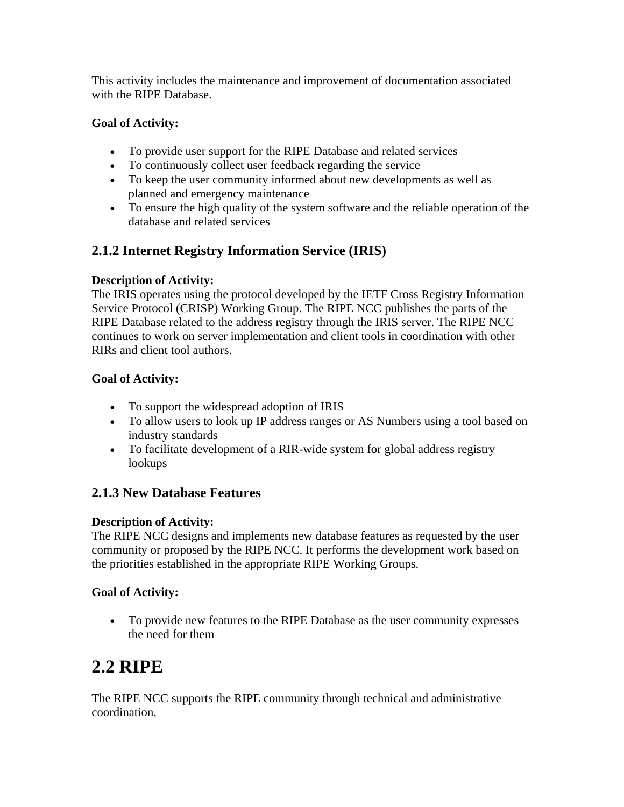This activity includes the maintenance and improvement of documentation associated with the RIPE Database.

### **Goal of Activity:**

- To provide user support for the RIPE Database and related services
- To continuously collect user feedback regarding the service
- To keep the user community informed about new developments as well as planned and emergency maintenance
- To ensure the high quality of the system software and the reliable operation of the database and related services

## **2.1.2 Internet Registry Information Service (IRIS)**

### **Description of Activity:**

The IRIS operates using the protocol developed by the IETF Cross Registry Information Service Protocol (CRISP) Working Group. The RIPE NCC publishes the parts of the RIPE Database related to the address registry through the IRIS server. The RIPE NCC continues to work on server implementation and client tools in coordination with other RIRs and client tool authors.

### **Goal of Activity:**

- To support the widespread adoption of IRIS
- To allow users to look up IP address ranges or AS Numbers using a tool based on industry standards
- To facilitate development of a RIR-wide system for global address registry lookups

## **2.1.3 New Database Features**

#### **Description of Activity:**

The RIPE NCC designs and implements new database features as requested by the user community or proposed by the RIPE NCC. It performs the development work based on the priorities established in the appropriate RIPE Working Groups.

## **Goal of Activity:**

• To provide new features to the RIPE Database as the user community expresses the need for them

## **2.2 RIPE**

The RIPE NCC supports the RIPE community through technical and administrative coordination.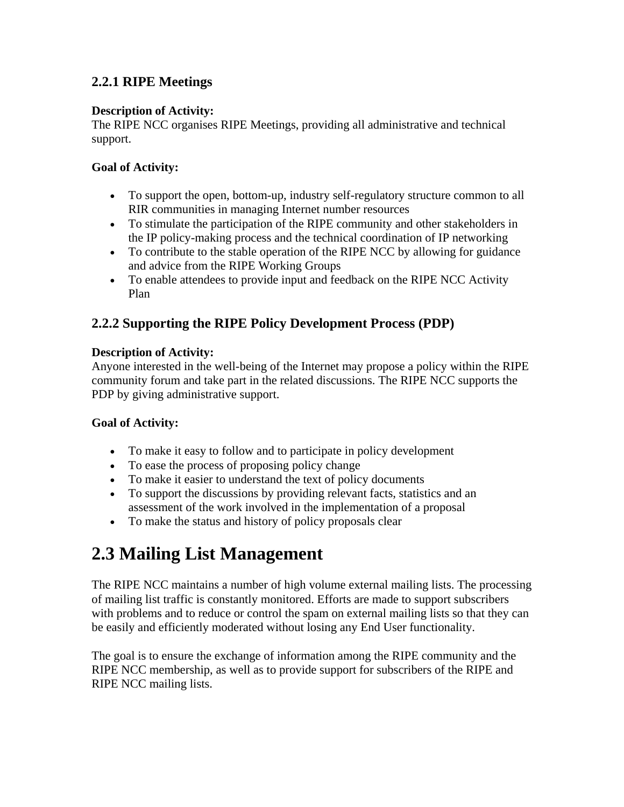## **2.2.1 RIPE Meetings**

#### **Description of Activity:**

The RIPE NCC organises RIPE Meetings, providing all administrative and technical support.

### **Goal of Activity:**

- To support the open, bottom-up, industry self-regulatory structure common to all RIR communities in managing Internet number resources
- To stimulate the participation of the RIPE community and other stakeholders in the IP policy-making process and the technical coordination of IP networking
- To contribute to the stable operation of the RIPE NCC by allowing for guidance and advice from the RIPE Working Groups
- To enable attendees to provide input and feedback on the RIPE NCC Activity Plan

## **2.2.2 Supporting the RIPE Policy Development Process (PDP)**

#### **Description of Activity:**

Anyone interested in the well-being of the Internet may propose a policy within the RIPE community forum and take part in the related discussions. The RIPE NCC supports the PDP by giving administrative support.

#### **Goal of Activity:**

- To make it easy to follow and to participate in policy development
- To ease the process of proposing policy change
- To make it easier to understand the text of policy documents
- To support the discussions by providing relevant facts, statistics and an assessment of the work involved in the implementation of a proposal
- To make the status and history of policy proposals clear

## **2.3 Mailing List Management**

The RIPE NCC maintains a number of high volume external mailing lists. The processing of mailing list traffic is constantly monitored. Efforts are made to support subscribers with problems and to reduce or control the spam on external mailing lists so that they can be easily and efficiently moderated without losing any End User functionality.

The goal is to ensure the exchange of information among the RIPE community and the RIPE NCC membership, as well as to provide support for subscribers of the RIPE and RIPE NCC mailing lists.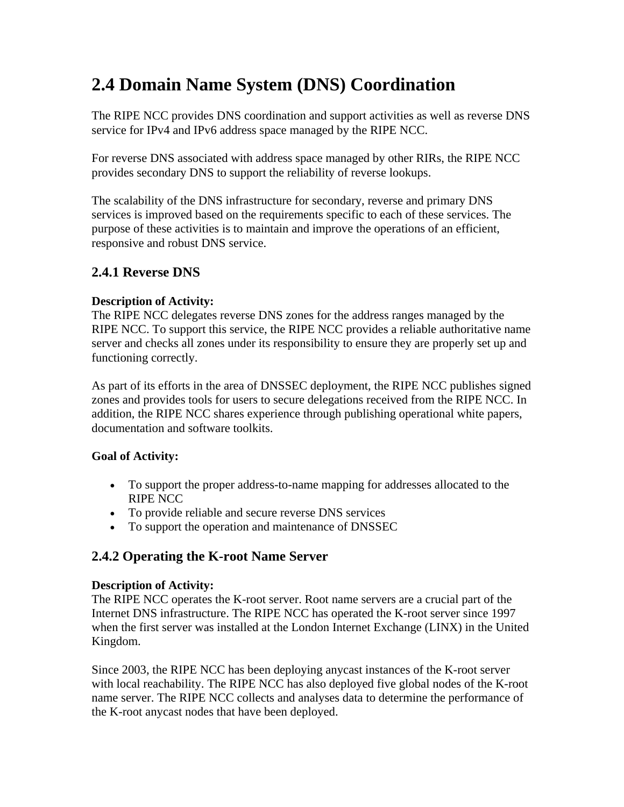## **2.4 Domain Name System (DNS) Coordination**

The RIPE NCC provides DNS coordination and support activities as well as reverse DNS service for IPv4 and IPv6 address space managed by the RIPE NCC.

For reverse DNS associated with address space managed by other RIRs, the RIPE NCC provides secondary DNS to support the reliability of reverse lookups.

The scalability of the DNS infrastructure for secondary, reverse and primary DNS services is improved based on the requirements specific to each of these services. The purpose of these activities is to maintain and improve the operations of an efficient, responsive and robust DNS service.

## **2.4.1 Reverse DNS**

### **Description of Activity:**

The RIPE NCC delegates reverse DNS zones for the address ranges managed by the RIPE NCC. To support this service, the RIPE NCC provides a reliable authoritative name server and checks all zones under its responsibility to ensure they are properly set up and functioning correctly.

As part of its efforts in the area of DNSSEC deployment, the RIPE NCC publishes signed zones and provides tools for users to secure delegations received from the RIPE NCC. In addition, the RIPE NCC shares experience through publishing operational white papers, documentation and software toolkits.

#### **Goal of Activity:**

- To support the proper address-to-name mapping for addresses allocated to the RIPE NCC
- To provide reliable and secure reverse DNS services
- To support the operation and maintenance of DNSSEC

## **2.4.2 Operating the K-root Name Server**

#### **Description of Activity:**

The RIPE NCC operates the K-root server. Root name servers are a crucial part of the Internet DNS infrastructure. The RIPE NCC has operated the K-root server since 1997 when the first server was installed at the London Internet Exchange (LINX) in the United Kingdom.

Since 2003, the RIPE NCC has been deploying anycast instances of the K-root server with local reachability. The RIPE NCC has also deployed five global nodes of the K-root name server. The RIPE NCC collects and analyses data to determine the performance of the K-root anycast nodes that have been deployed.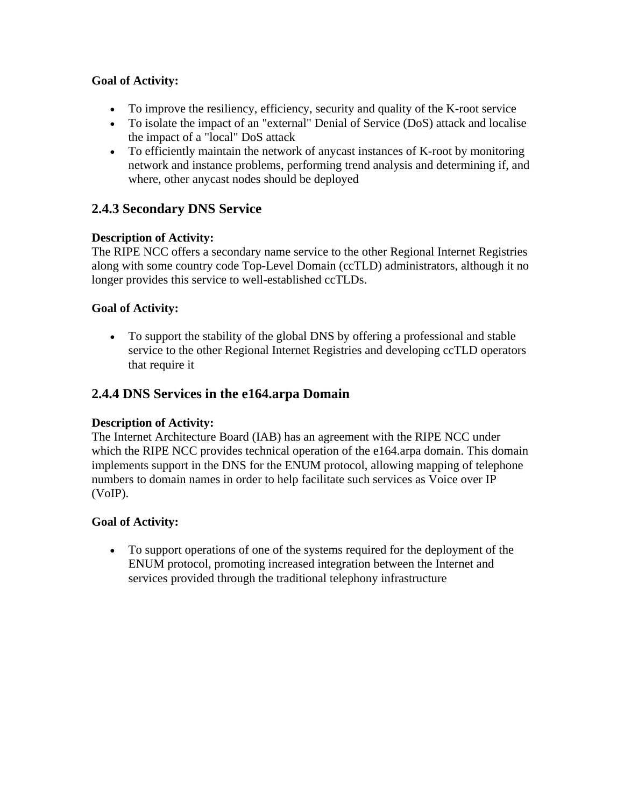- To improve the resiliency, efficiency, security and quality of the K-root service
- To isolate the impact of an "external" Denial of Service (DoS) attack and localise the impact of a "local" DoS attack
- To efficiently maintain the network of anycast instances of K-root by monitoring network and instance problems, performing trend analysis and determining if, and where, other anycast nodes should be deployed

## **2.4.3 Secondary DNS Service**

### **Description of Activity:**

The RIPE NCC offers a secondary name service to the other Regional Internet Registries along with some country code Top-Level Domain (ccTLD) administrators, although it no longer provides this service to well-established ccTLDs.

### **Goal of Activity:**

• To support the stability of the global DNS by offering a professional and stable service to the other Regional Internet Registries and developing ccTLD operators that require it

## **2.4.4 DNS Services in the e164.arpa Domain**

#### **Description of Activity:**

The Internet Architecture Board (IAB) has an agreement with the RIPE NCC under which the RIPE NCC provides technical operation of the e164.arpa domain. This domain implements support in the DNS for the ENUM protocol, allowing mapping of telephone numbers to domain names in order to help facilitate such services as Voice over IP (VoIP).

#### **Goal of Activity:**

• To support operations of one of the systems required for the deployment of the ENUM protocol, promoting increased integration between the Internet and services provided through the traditional telephony infrastructure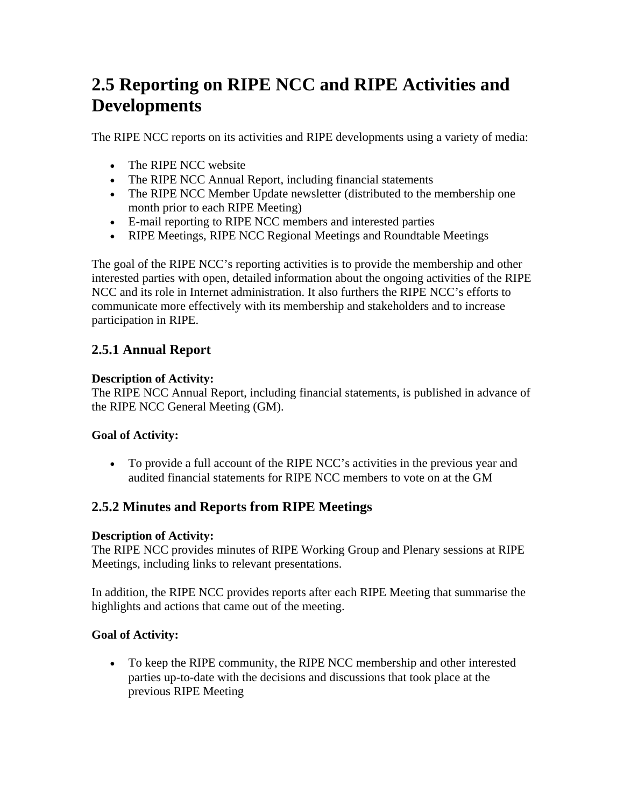## **2.5 Reporting on RIPE NCC and RIPE Activities and Developments**

The RIPE NCC reports on its activities and RIPE developments using a variety of media:

- The RIPE NCC website
- The RIPE NCC Annual Report, including financial statements
- The RIPE NCC Member Update newsletter (distributed to the membership one month prior to each RIPE Meeting)
- E-mail reporting to RIPE NCC members and interested parties
- RIPE Meetings, RIPE NCC Regional Meetings and Roundtable Meetings

The goal of the RIPE NCC's reporting activities is to provide the membership and other interested parties with open, detailed information about the ongoing activities of the RIPE NCC and its role in Internet administration. It also furthers the RIPE NCC's efforts to communicate more effectively with its membership and stakeholders and to increase participation in RIPE.

## **2.5.1 Annual Report**

## **Description of Activity:**

The RIPE NCC Annual Report, including financial statements, is published in advance of the RIPE NCC General Meeting (GM).

## **Goal of Activity:**

• To provide a full account of the RIPE NCC's activities in the previous year and audited financial statements for RIPE NCC members to vote on at the GM

## **2.5.2 Minutes and Reports from RIPE Meetings**

## **Description of Activity:**

The RIPE NCC provides minutes of RIPE Working Group and Plenary sessions at RIPE Meetings, including links to relevant presentations.

In addition, the RIPE NCC provides reports after each RIPE Meeting that summarise the highlights and actions that came out of the meeting.

## **Goal of Activity:**

• To keep the RIPE community, the RIPE NCC membership and other interested parties up-to-date with the decisions and discussions that took place at the previous RIPE Meeting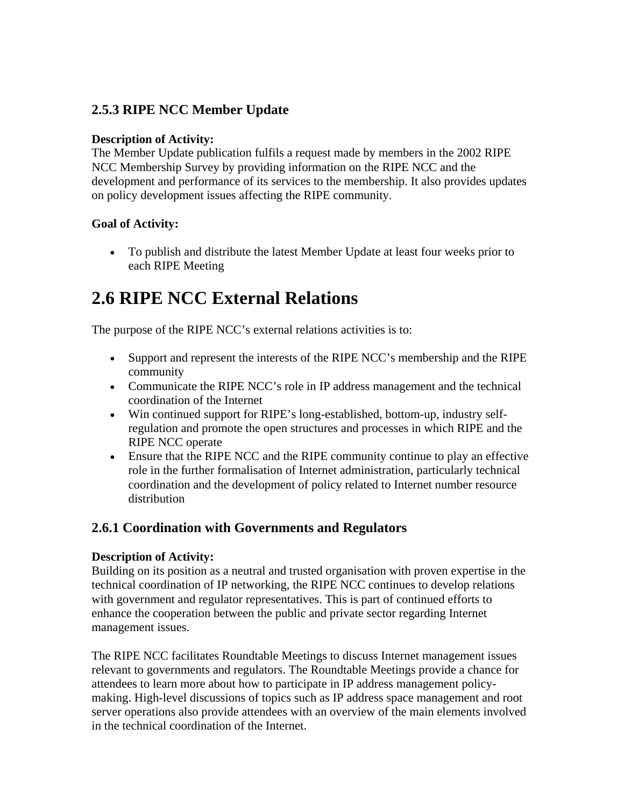## **2.5.3 RIPE NCC Member Update**

#### **Description of Activity:**

The Member Update publication fulfils a request made by members in the 2002 RIPE NCC Membership Survey by providing information on the RIPE NCC and the development and performance of its services to the membership. It also provides updates on policy development issues affecting the RIPE community.

#### **Goal of Activity:**

• To publish and distribute the latest Member Update at least four weeks prior to each RIPE Meeting

## **2.6 RIPE NCC External Relations**

The purpose of the RIPE NCC's external relations activities is to:

- Support and represent the interests of the RIPE NCC's membership and the RIPE community
- Communicate the RIPE NCC's role in IP address management and the technical coordination of the Internet
- Win continued support for RIPE's long-established, bottom-up, industry selfregulation and promote the open structures and processes in which RIPE and the RIPE NCC operate
- Ensure that the RIPE NCC and the RIPE community continue to play an effective role in the further formalisation of Internet administration, particularly technical coordination and the development of policy related to Internet number resource distribution

## **2.6.1 Coordination with Governments and Regulators**

#### **Description of Activity:**

Building on its position as a neutral and trusted organisation with proven expertise in the technical coordination of IP networking, the RIPE NCC continues to develop relations with government and regulator representatives. This is part of continued efforts to enhance the cooperation between the public and private sector regarding Internet management issues.

The RIPE NCC facilitates Roundtable Meetings to discuss Internet management issues relevant to governments and regulators. The Roundtable Meetings provide a chance for attendees to learn more about how to participate in IP address management policymaking. High-level discussions of topics such as IP address space management and root server operations also provide attendees with an overview of the main elements involved in the technical coordination of the Internet.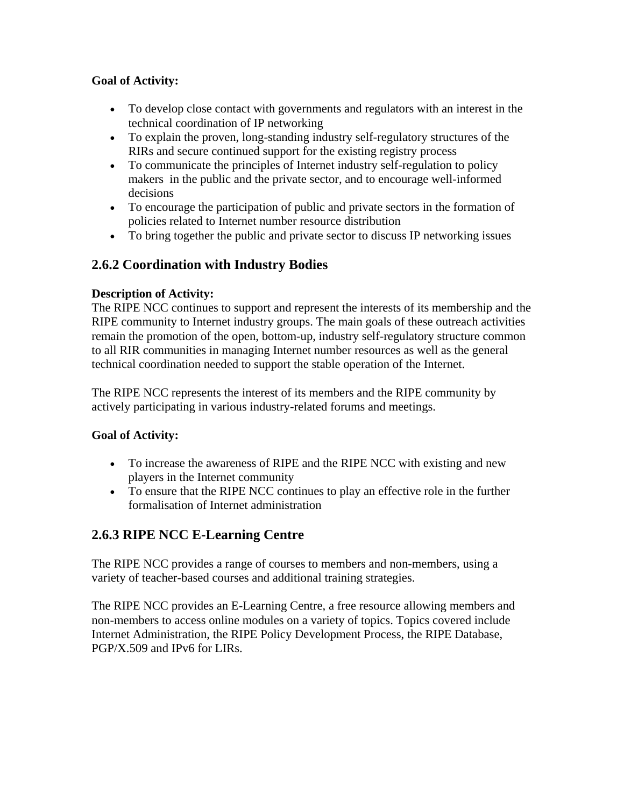- To develop close contact with governments and regulators with an interest in the technical coordination of IP networking
- To explain the proven, long-standing industry self-regulatory structures of the RIRs and secure continued support for the existing registry process
- To communicate the principles of Internet industry self-regulation to policy makers in the public and the private sector, and to encourage well-informed decisions
- To encourage the participation of public and private sectors in the formation of policies related to Internet number resource distribution
- To bring together the public and private sector to discuss IP networking issues

## **2.6.2 Coordination with Industry Bodies**

### **Description of Activity:**

The RIPE NCC continues to support and represent the interests of its membership and the RIPE community to Internet industry groups. The main goals of these outreach activities remain the promotion of the open, bottom-up, industry self-regulatory structure common to all RIR communities in managing Internet number resources as well as the general technical coordination needed to support the stable operation of the Internet.

The RIPE NCC represents the interest of its members and the RIPE community by actively participating in various industry-related forums and meetings.

## **Goal of Activity:**

- To increase the awareness of RIPE and the RIPE NCC with existing and new players in the Internet community
- To ensure that the RIPE NCC continues to play an effective role in the further formalisation of Internet administration

## **2.6.3 RIPE NCC E-Learning Centre**

The RIPE NCC provides a range of courses to members and non-members, using a variety of teacher-based courses and additional training strategies.

The RIPE NCC provides an E-Learning Centre, a free resource allowing members and non-members to access online modules on a variety of topics. Topics covered include Internet Administration, the RIPE Policy Development Process, the RIPE Database, PGP/X.509 and IPv6 for LIRs.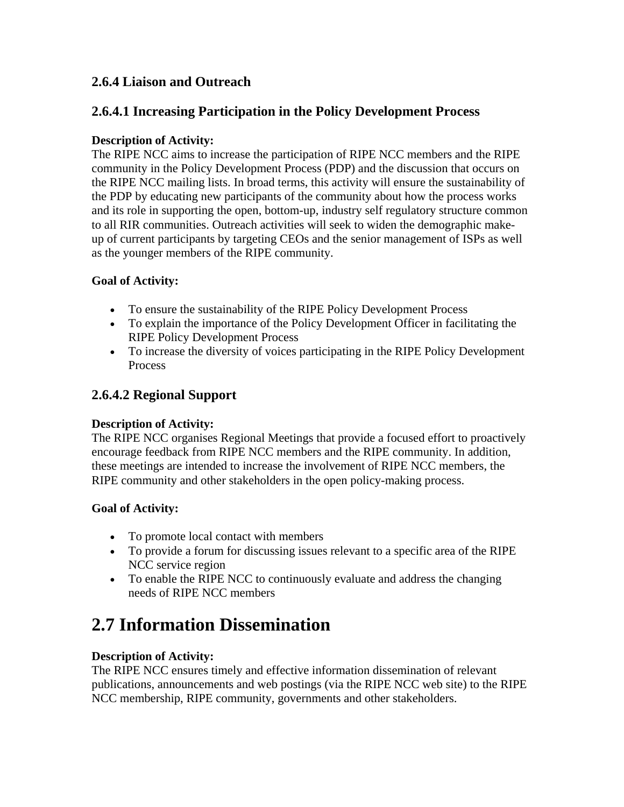## **2.6.4 Liaison and Outreach**

## **2.6.4.1 Increasing Participation in the Policy Development Process**

#### **Description of Activity:**

The RIPE NCC aims to increase the participation of RIPE NCC members and the RIPE community in the Policy Development Process (PDP) and the discussion that occurs on the RIPE NCC mailing lists. In broad terms, this activity will ensure the sustainability of the PDP by educating new participants of the community about how the process works and its role in supporting the open, bottom-up, industry self regulatory structure common to all RIR communities. Outreach activities will seek to widen the demographic makeup of current participants by targeting CEOs and the senior management of ISPs as well as the younger members of the RIPE community.

### **Goal of Activity:**

- To ensure the sustainability of the RIPE Policy Development Process
- To explain the importance of the Policy Development Officer in facilitating the RIPE Policy Development Process
- To increase the diversity of voices participating in the RIPE Policy Development Process

## **2.6.4.2 Regional Support**

#### **Description of Activity:**

The RIPE NCC organises Regional Meetings that provide a focused effort to proactively encourage feedback from RIPE NCC members and the RIPE community. In addition, these meetings are intended to increase the involvement of RIPE NCC members, the RIPE community and other stakeholders in the open policy-making process.

#### **Goal of Activity:**

- To promote local contact with members
- To provide a forum for discussing issues relevant to a specific area of the RIPE NCC service region
- To enable the RIPE NCC to continuously evaluate and address the changing needs of RIPE NCC members

## **2.7 Information Dissemination**

#### **Description of Activity:**

The RIPE NCC ensures timely and effective information dissemination of relevant publications, announcements and web postings (via the RIPE NCC web site) to the RIPE NCC membership, RIPE community, governments and other stakeholders.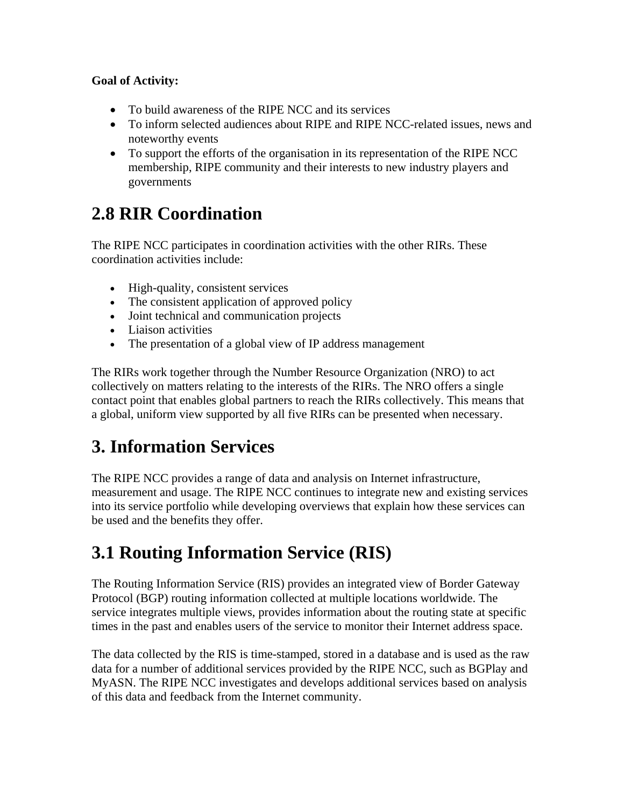- To build awareness of the RIPE NCC and its services
- To inform selected audiences about RIPE and RIPE NCC-related issues, news and noteworthy events
- To support the efforts of the organisation in its representation of the RIPE NCC membership, RIPE community and their interests to new industry players and governments

## **2.8 RIR Coordination**

The RIPE NCC participates in coordination activities with the other RIRs. These coordination activities include:

- High-quality, consistent services
- The consistent application of approved policy
- Joint technical and communication projects
- Liaison activities
- The presentation of a global view of IP address management

The RIRs work together through the Number Resource Organization (NRO) to act collectively on matters relating to the interests of the RIRs. The NRO offers a single contact point that enables global partners to reach the RIRs collectively. This means that a global, uniform view supported by all five RIRs can be presented when necessary.

## **3. Information Services**

The RIPE NCC provides a range of data and analysis on Internet infrastructure, measurement and usage. The RIPE NCC continues to integrate new and existing services into its service portfolio while developing overviews that explain how these services can be used and the benefits they offer.

## **3.1 Routing Information Service (RIS)**

The Routing Information Service (RIS) provides an integrated view of Border Gateway Protocol (BGP) routing information collected at multiple locations worldwide. The service integrates multiple views, provides information about the routing state at specific times in the past and enables users of the service to monitor their Internet address space.

The data collected by the RIS is time-stamped, stored in a database and is used as the raw data for a number of additional services provided by the RIPE NCC, such as BGPlay and MyASN. The RIPE NCC investigates and develops additional services based on analysis of this data and feedback from the Internet community.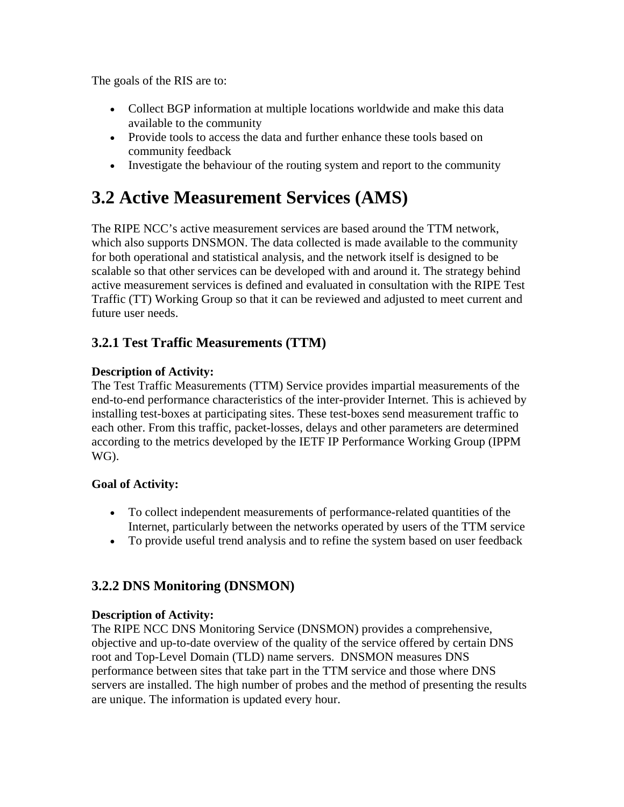The goals of the RIS are to:

- Collect BGP information at multiple locations worldwide and make this data available to the community
- Provide tools to access the data and further enhance these tools based on community feedback
- Investigate the behaviour of the routing system and report to the community

## **3.2 Active Measurement Services (AMS)**

The RIPE NCC's active measurement services are based around the TTM network, which also supports DNSMON. The data collected is made available to the community for both operational and statistical analysis, and the network itself is designed to be scalable so that other services can be developed with and around it. The strategy behind active measurement services is defined and evaluated in consultation with the RIPE Test Traffic (TT) Working Group so that it can be reviewed and adjusted to meet current and future user needs.

## **3.2.1 Test Traffic Measurements (TTM)**

## **Description of Activity:**

The Test Traffic Measurements (TTM) Service provides impartial measurements of the end-to-end performance characteristics of the inter-provider Internet. This is achieved by installing test-boxes at participating sites. These test-boxes send measurement traffic to each other. From this traffic, packet-losses, delays and other parameters are determined according to the metrics developed by the IETF IP Performance Working Group (IPPM WG).

## **Goal of Activity:**

- To collect independent measurements of performance-related quantities of the Internet, particularly between the networks operated by users of the TTM service
- To provide useful trend analysis and to refine the system based on user feedback

## **3.2.2 DNS Monitoring (DNSMON)**

#### **Description of Activity:**

The RIPE NCC DNS Monitoring Service (DNSMON) provides a comprehensive, objective and up-to-date overview of the quality of the service offered by certain DNS root and Top-Level Domain (TLD) name servers. DNSMON measures DNS performance between sites that take part in the TTM service and those where DNS servers are installed. The high number of probes and the method of presenting the results are unique. The information is updated every hour.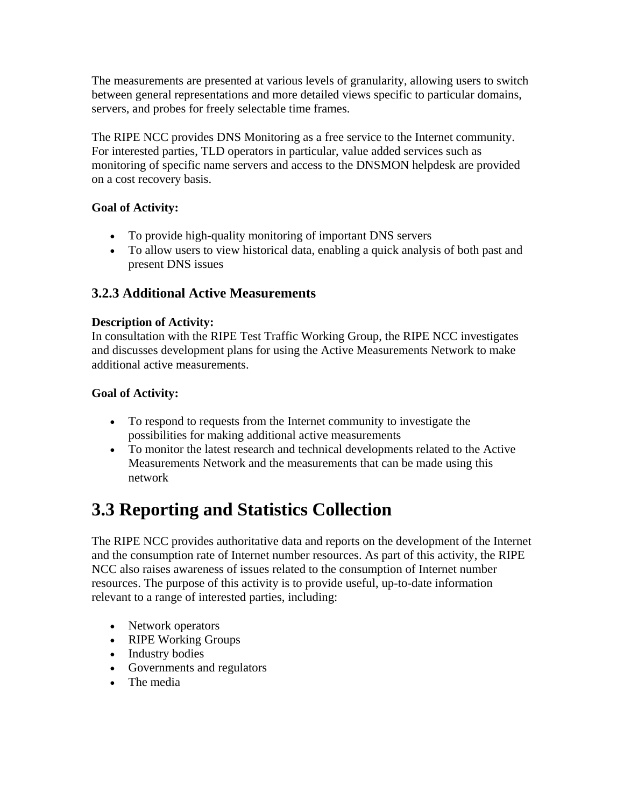The measurements are presented at various levels of granularity, allowing users to switch between general representations and more detailed views specific to particular domains, servers, and probes for freely selectable time frames.

The RIPE NCC provides DNS Monitoring as a free service to the Internet community. For interested parties, TLD operators in particular, value added services such as monitoring of specific name servers and access to the DNSMON helpdesk are provided on a cost recovery basis.

### **Goal of Activity:**

- To provide high-quality monitoring of important DNS servers
- To allow users to view historical data, enabling a quick analysis of both past and present DNS issues

## **3.2.3 Additional Active Measurements**

#### **Description of Activity:**

In consultation with the RIPE Test Traffic Working Group, the RIPE NCC investigates and discusses development plans for using the Active Measurements Network to make additional active measurements.

### **Goal of Activity:**

- To respond to requests from the Internet community to investigate the possibilities for making additional active measurements
- To monitor the latest research and technical developments related to the Active Measurements Network and the measurements that can be made using this network

## **3.3 Reporting and Statistics Collection**

The RIPE NCC provides authoritative data and reports on the development of the Internet and the consumption rate of Internet number resources. As part of this activity, the RIPE NCC also raises awareness of issues related to the consumption of Internet number resources. The purpose of this activity is to provide useful, up-to-date information relevant to a range of interested parties, including:

- Network operators
- RIPE Working Groups
- Industry bodies
- Governments and regulators
- The media